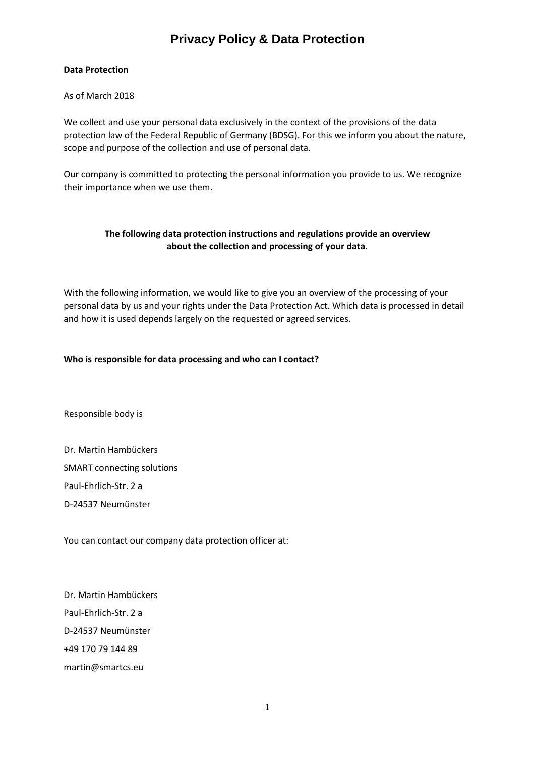## **Data Protection**

As of March 2018

We collect and use your personal data exclusively in the context of the provisions of the data protection law of the Federal Republic of Germany (BDSG). For this we inform you about the nature, scope and purpose of the collection and use of personal data.

Our company is committed to protecting the personal information you provide to us. We recognize their importance when we use them.

## **The following data protection instructions and regulations provide an overview about the collection and processing of your data.**

With the following information, we would like to give you an overview of the processing of your personal data by us and your rights under the Data Protection Act. Which data is processed in detail and how it is used depends largely on the requested or agreed services.

## **Who is responsible for data processing and who can I contact?**

Responsible body is

Dr. Martin Hambückers SMART connecting solutions Paul-Ehrlich-Str. 2 a D-24537 Neumünster

You can contact our company data protection officer at:

Dr. Martin Hambückers Paul-Ehrlich-Str. 2 a D-24537 Neumünster +49 170 79 144 89 martin@smartcs.eu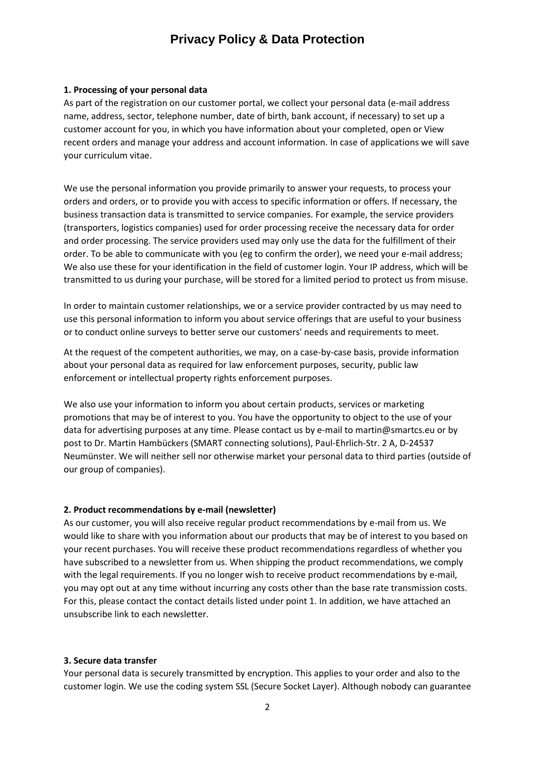### **1. Processing of your personal data**

As part of the registration on our customer portal, we collect your personal data (e-mail address name, address, sector, telephone number, date of birth, bank account, if necessary) to set up a customer account for you, in which you have information about your completed, open or View recent orders and manage your address and account information. In case of applications we will save your curriculum vitae.

We use the personal information you provide primarily to answer your requests, to process your orders and orders, or to provide you with access to specific information or offers. If necessary, the business transaction data is transmitted to service companies. For example, the service providers (transporters, logistics companies) used for order processing receive the necessary data for order and order processing. The service providers used may only use the data for the fulfillment of their order. To be able to communicate with you (eg to confirm the order), we need your e-mail address; We also use these for your identification in the field of customer login. Your IP address, which will be transmitted to us during your purchase, will be stored for a limited period to protect us from misuse.

In order to maintain customer relationships, we or a service provider contracted by us may need to use this personal information to inform you about service offerings that are useful to your business or to conduct online surveys to better serve our customers' needs and requirements to meet.

At the request of the competent authorities, we may, on a case-by-case basis, provide information about your personal data as required for law enforcement purposes, security, public law enforcement or intellectual property rights enforcement purposes.

We also use your information to inform you about certain products, services or marketing promotions that may be of interest to you. You have the opportunity to object to the use of your data for advertising purposes at any time. Please contact us by e-mail to martin@smartcs.eu or by post to Dr. Martin Hambückers (SMART connecting solutions), Paul-Ehrlich-Str. 2 A, D-24537 Neumünster. We will neither sell nor otherwise market your personal data to third parties (outside of our group of companies).

## **2. Product recommendations by e-mail (newsletter)**

As our customer, you will also receive regular product recommendations by e-mail from us. We would like to share with you information about our products that may be of interest to you based on your recent purchases. You will receive these product recommendations regardless of whether you have subscribed to a newsletter from us. When shipping the product recommendations, we comply with the legal requirements. If you no longer wish to receive product recommendations by e-mail, you may opt out at any time without incurring any costs other than the base rate transmission costs. For this, please contact the contact details listed under point 1. In addition, we have attached an unsubscribe link to each newsletter.

### **3. Secure data transfer**

Your personal data is securely transmitted by encryption. This applies to your order and also to the customer login. We use the coding system SSL (Secure Socket Layer). Although nobody can guarantee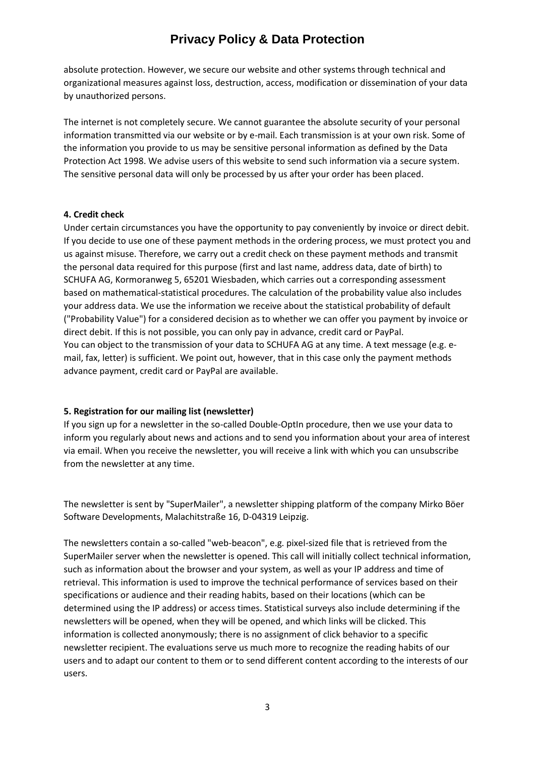absolute protection. However, we secure our website and other systems through technical and organizational measures against loss, destruction, access, modification or dissemination of your data by unauthorized persons.

The internet is not completely secure. We cannot guarantee the absolute security of your personal information transmitted via our website or by e-mail. Each transmission is at your own risk. Some of the information you provide to us may be sensitive personal information as defined by the Data Protection Act 1998. We advise users of this website to send such information via a secure system. The sensitive personal data will only be processed by us after your order has been placed.

## **4. Credit check**

Under certain circumstances you have the opportunity to pay conveniently by invoice or direct debit. If you decide to use one of these payment methods in the ordering process, we must protect you and us against misuse. Therefore, we carry out a credit check on these payment methods and transmit the personal data required for this purpose (first and last name, address data, date of birth) to SCHUFA AG, Kormoranweg 5, 65201 Wiesbaden, which carries out a corresponding assessment based on mathematical-statistical procedures. The calculation of the probability value also includes your address data. We use the information we receive about the statistical probability of default ("Probability Value") for a considered decision as to whether we can offer you payment by invoice or direct debit. If this is not possible, you can only pay in advance, credit card or PayPal. You can object to the transmission of your data to SCHUFA AG at any time. A text message (e.g. email, fax, letter) is sufficient. We point out, however, that in this case only the payment methods advance payment, credit card or PayPal are available.

## **5. Registration for our mailing list (newsletter)**

If you sign up for a newsletter in the so-called Double-OptIn procedure, then we use your data to inform you regularly about news and actions and to send you information about your area of interest via email. When you receive the newsletter, you will receive a link with which you can unsubscribe from the newsletter at any time.

The newsletter is sent by "SuperMailer", a newsletter shipping platform of the company Mirko Böer Software Developments, Malachitstraße 16, D-04319 Leipzig.

The newsletters contain a so-called "web-beacon", e.g. pixel-sized file that is retrieved from the SuperMailer server when the newsletter is opened. This call will initially collect technical information, such as information about the browser and your system, as well as your IP address and time of retrieval. This information is used to improve the technical performance of services based on their specifications or audience and their reading habits, based on their locations (which can be determined using the IP address) or access times. Statistical surveys also include determining if the newsletters will be opened, when they will be opened, and which links will be clicked. This information is collected anonymously; there is no assignment of click behavior to a specific newsletter recipient. The evaluations serve us much more to recognize the reading habits of our users and to adapt our content to them or to send different content according to the interests of our users.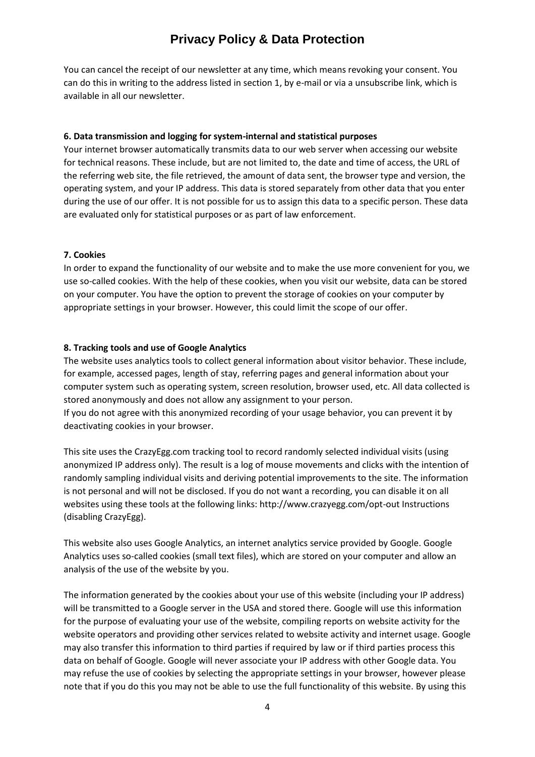You can cancel the receipt of our newsletter at any time, which means revoking your consent. You can do this in writing to the address listed in section 1, by e-mail or via a unsubscribe link, which is available in all our newsletter.

## **6. Data transmission and logging for system-internal and statistical purposes**

Your internet browser automatically transmits data to our web server when accessing our website for technical reasons. These include, but are not limited to, the date and time of access, the URL of the referring web site, the file retrieved, the amount of data sent, the browser type and version, the operating system, and your IP address. This data is stored separately from other data that you enter during the use of our offer. It is not possible for us to assign this data to a specific person. These data are evaluated only for statistical purposes or as part of law enforcement.

## **7. Cookies**

In order to expand the functionality of our website and to make the use more convenient for you, we use so-called cookies. With the help of these cookies, when you visit our website, data can be stored on your computer. You have the option to prevent the storage of cookies on your computer by appropriate settings in your browser. However, this could limit the scope of our offer.

## **8. Tracking tools and use of Google Analytics**

The website uses analytics tools to collect general information about visitor behavior. These include, for example, accessed pages, length of stay, referring pages and general information about your computer system such as operating system, screen resolution, browser used, etc. All data collected is stored anonymously and does not allow any assignment to your person. If you do not agree with this anonymized recording of your usage behavior, you can prevent it by

deactivating cookies in your browser.

This site uses the CrazyEgg.com tracking tool to record randomly selected individual visits (using anonymized IP address only). The result is a log of mouse movements and clicks with the intention of randomly sampling individual visits and deriving potential improvements to the site. The information is not personal and will not be disclosed. If you do not want a recording, you can disable it on all websites using these tools at the following links: http://www.crazyegg.com/opt-out Instructions (disabling CrazyEgg).

This website also uses Google Analytics, an internet analytics service provided by Google. Google Analytics uses so-called cookies (small text files), which are stored on your computer and allow an analysis of the use of the website by you.

The information generated by the cookies about your use of this website (including your IP address) will be transmitted to a Google server in the USA and stored there. Google will use this information for the purpose of evaluating your use of the website, compiling reports on website activity for the website operators and providing other services related to website activity and internet usage. Google may also transfer this information to third parties if required by law or if third parties process this data on behalf of Google. Google will never associate your IP address with other Google data. You may refuse the use of cookies by selecting the appropriate settings in your browser, however please note that if you do this you may not be able to use the full functionality of this website. By using this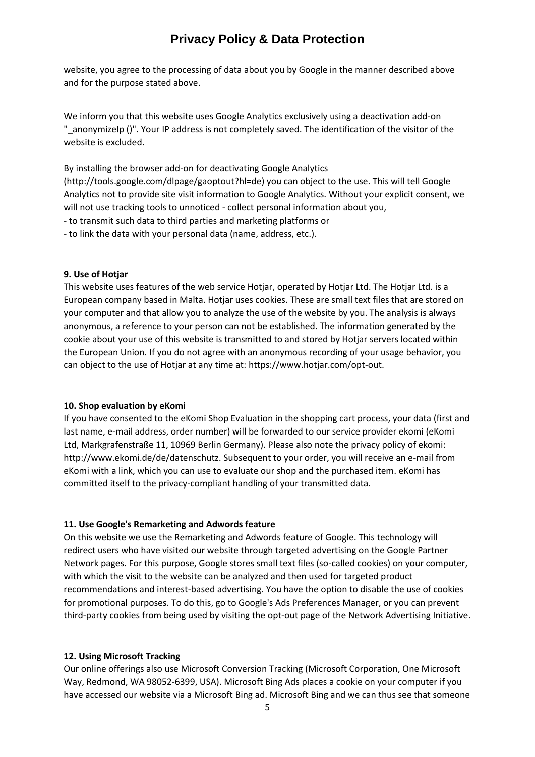website, you agree to the processing of data about you by Google in the manner described above and for the purpose stated above.

We inform you that this website uses Google Analytics exclusively using a deactivation add-on "\_anonymizeIp ()". Your IP address is not completely saved. The identification of the visitor of the website is excluded.

By installing the browser add-on for deactivating Google Analytics

(http://tools.google.com/dlpage/gaoptout?hl=de) you can object to the use. This will tell Google Analytics not to provide site visit information to Google Analytics. Without your explicit consent, we will not use tracking tools to unnoticed - collect personal information about you,

- to transmit such data to third parties and marketing platforms or

- to link the data with your personal data (name, address, etc.).

### **9. Use of Hotjar**

This website uses features of the web service Hotjar, operated by Hotjar Ltd. The Hotjar Ltd. is a European company based in Malta. Hotjar uses cookies. These are small text files that are stored on your computer and that allow you to analyze the use of the website by you. The analysis is always anonymous, a reference to your person can not be established. The information generated by the cookie about your use of this website is transmitted to and stored by Hotjar servers located within the European Union. If you do not agree with an anonymous recording of your usage behavior, you can object to the use of Hotjar at any time at: https://www.hotjar.com/opt-out.

#### **10. Shop evaluation by eKomi**

If you have consented to the eKomi Shop Evaluation in the shopping cart process, your data (first and last name, e-mail address, order number) will be forwarded to our service provider ekomi (eKomi Ltd, Markgrafenstraße 11, 10969 Berlin Germany). Please also note the privacy policy of ekomi: http://www.ekomi.de/de/datenschutz. Subsequent to your order, you will receive an e-mail from eKomi with a link, which you can use to evaluate our shop and the purchased item. eKomi has committed itself to the privacy-compliant handling of your transmitted data.

#### **11. Use Google's Remarketing and Adwords feature**

On this website we use the Remarketing and Adwords feature of Google. This technology will redirect users who have visited our website through targeted advertising on the Google Partner Network pages. For this purpose, Google stores small text files (so-called cookies) on your computer, with which the visit to the website can be analyzed and then used for targeted product recommendations and interest-based advertising. You have the option to disable the use of cookies for promotional purposes. To do this, go to Google's Ads Preferences Manager, or you can prevent third-party cookies from being used by visiting the opt-out page of the Network Advertising Initiative.

### **12. Using Microsoft Tracking**

Our online offerings also use Microsoft Conversion Tracking (Microsoft Corporation, One Microsoft Way, Redmond, WA 98052-6399, USA). Microsoft Bing Ads places a cookie on your computer if you have accessed our website via a Microsoft Bing ad. Microsoft Bing and we can thus see that someone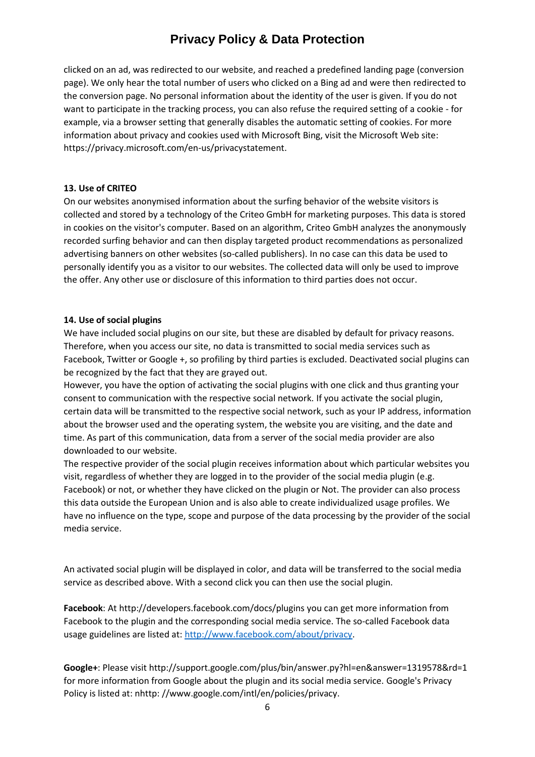clicked on an ad, was redirected to our website, and reached a predefined landing page (conversion page). We only hear the total number of users who clicked on a Bing ad and were then redirected to the conversion page. No personal information about the identity of the user is given. If you do not want to participate in the tracking process, you can also refuse the required setting of a cookie - for example, via a browser setting that generally disables the automatic setting of cookies. For more information about privacy and cookies used with Microsoft Bing, visit the Microsoft Web site: https://privacy.microsoft.com/en-us/privacystatement.

## **13. Use of CRITEO**

On our websites anonymised information about the surfing behavior of the website visitors is collected and stored by a technology of the Criteo GmbH for marketing purposes. This data is stored in cookies on the visitor's computer. Based on an algorithm, Criteo GmbH analyzes the anonymously recorded surfing behavior and can then display targeted product recommendations as personalized advertising banners on other websites (so-called publishers). In no case can this data be used to personally identify you as a visitor to our websites. The collected data will only be used to improve the offer. Any other use or disclosure of this information to third parties does not occur.

## **14. Use of social plugins**

We have included social plugins on our site, but these are disabled by default for privacy reasons. Therefore, when you access our site, no data is transmitted to social media services such as Facebook, Twitter or Google +, so profiling by third parties is excluded. Deactivated social plugins can be recognized by the fact that they are grayed out.

However, you have the option of activating the social plugins with one click and thus granting your consent to communication with the respective social network. If you activate the social plugin, certain data will be transmitted to the respective social network, such as your IP address, information about the browser used and the operating system, the website you are visiting, and the date and time. As part of this communication, data from a server of the social media provider are also downloaded to our website.

The respective provider of the social plugin receives information about which particular websites you visit, regardless of whether they are logged in to the provider of the social media plugin (e.g. Facebook) or not, or whether they have clicked on the plugin or Not. The provider can also process this data outside the European Union and is also able to create individualized usage profiles. We have no influence on the type, scope and purpose of the data processing by the provider of the social media service.

An activated social plugin will be displayed in color, and data will be transferred to the social media service as described above. With a second click you can then use the social plugin.

**Facebook**: At http://developers.facebook.com/docs/plugins you can get more information from Facebook to the plugin and the corresponding social media service. The so-called Facebook data usage guidelines are listed at: [http://www.facebook.com/about/privacy.](http://www.facebook.com/about/privacy)

**Google+**: Please visit http://support.google.com/plus/bin/answer.py?hl=en&answer=1319578&rd=1 for more information from Google about the plugin and its social media service. Google's Privacy Policy is listed at: nhttp: //www.google.com/intl/en/policies/privacy.